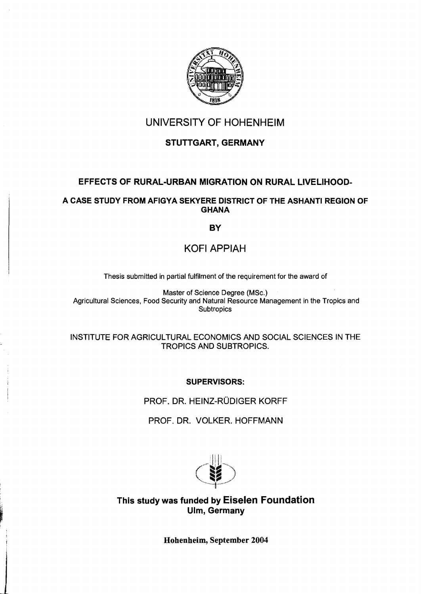

## UNIVERSITY OF HOHENHEIM

## STUTTGART, GERMANY

## EFFECTS OF RURAL-URBAN MIGRATION ON RURAL LlVELlHOOD-

#### A CASE STUDY FROM AFIGYA SEKYERE DISTRICT OF THE ASHANTI REGION OF **GHANA**

## **BY**

# KOFI APPIAH

Thesis submitted in partial fulfilment of the requirement for the award of

Master of Science Degree (MSc.) Agricultural Sciences, Food Security and Natural Resource Management in the Tropics and **Subtropics** 

#### INSTITUTE FOR AGRICULTURAL ECONOMICS AND SOCIAL SCIENCES IN THE TROPICS AND SUBTROPICS.

### SUPERVISORS:

PROF. DR. HEINZ-RÜDIGER KORFF

PROF. DR. VOLKER. HOFFMANN



This study was funded by Eiselen Foundation Ulm, Germany

Hohenheim, September 2004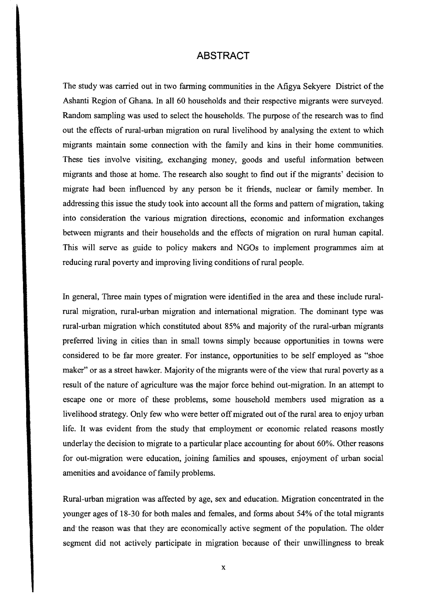### **ABSTRACT**

The study was carried out in two farming communities in the Afigya Sekyere District of the Ashanti Region of Ghana. In all 60 households and their respective migrants were surveyed. Random sampling was used to select the households. The purpose of the research was to find out the effects of rural-urban migration on rural livelihood by analysing the extent to which migrants maintain some connection with the family and kins in their horne communities. These ties involve visiting, exchanging money, goods and useful information between migrants and those at home. The research also sought to find out if the migrants' decision to migrate had been influenced by any person be it friends, nuclear or family member. In addressing this issue the study took into account all the forms and pattern of migration, taking into consideration the various migration directions, economic and information exchanges between migrants and their households and the effects of migration on rural human capital. This will serve as guide to policy makers and NGOs to implement programmes aim at reducing rural poverty and improving living conditions of rural people.

In general, Three main types of migration were identified in the area and these include ruralrural migration, rural-urban migration and international migration. The dominant type was rural-urban migration which constituted about 85% and majority of the rural-urban migrants preferred living in cities than in small towns simply because opportunities in towns were considered to be far more greater. For instance, opportunities to be self employed as "shoe maker" or as a street hawker. Majority of the migrants were of the view that rural poverty as a result of the nature of agriculture was the major force behind out-migration. In an attempt to escape one or more of these problems, some household members used migration as a livelihood strategy. Only few who were better off migrated out of the rural area to enjoy urban life. It was evident from the study that employment or economic related reasons mostly underlay the decision to migrate to a particular place accounting for about 60%. Other reasons for out-migration were education, joining families and spouses, enjoyment of urban social amenities and avoidance of family problems.

Rural-urban migration was affected by age, sex and education. Migration concentrated in the younger ages of 18-30 for both males and females, and forms about 54% of the total migrants and" the reason was that they are economically active segment of the population. The older segment did not actively participate in migration because of their unwillingness to break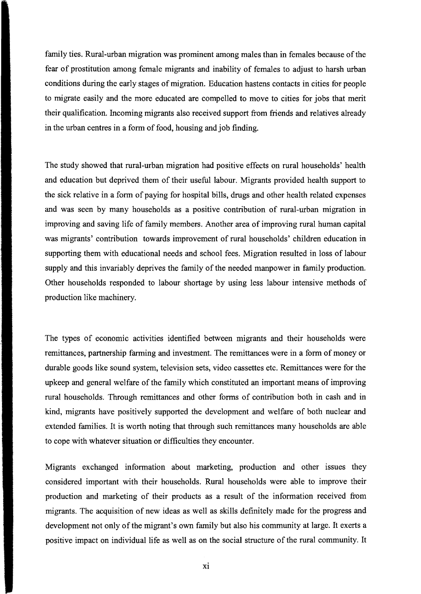family ties. Rural-urban migration was prominent among males than in females because of the fear of prostitution among female migrants and inability of females to adjust to harsh urban conditions during the early stages of migration. Education hastens contacts in cities for people to migrate easily and the more educated are compelled to move to cities for jobs that merit their qualification. Incoming mi grants also received support from friends and relatives already in the urban centres in a form of food, housing and job finding.

The study showed that rural-urban migration had positive effects on rural households' health and education but deprived them of their useful labour. Migrants provided health support to the siek relative in a fonn of paying for hospital bills, drugs and other health related expenses and was seen by many households as a positive contribution of rural-urban migration in improving and saving life of family members. Another area of improving rural human capital was migrants' contribution towards improvement of rural households' children education in supporting them with educational needs and school fees. Migration resulted in loss of labour supply and this invariably deprives the family of the needed manpower in family production. Other households responded to labour shortage by using less labour intensive methods of production like machinery.

The types of economic activities identified between migrants and their households were remittances, partnership fanning and investment. The remittances were in a fonn of money or durable goods like sound system, television sets, video cassettes etc. Remittances were for the upkeep and general welfare of the family which constituted an important means of improving rural households. Through remittances and other forms of contribution both in cash and in kind, migrants have positively supported the development and welfare of both nuclear and extended families. It is worth noting that through such remittances many households are able to cope with whatever situation or difficulties they encounter.

Migrants exchanged information about marketing, production and other issues they considered important with their households. Rural households were able to improve their production and marketing of their products as a result of the information received from migrants. The acquisition of new ideas as well as skills definitely made for the progress and development not only of the migrant's own family but also his community at large. It exerts a positive impact on individual life as weIl as on the social structure of the rural community. It